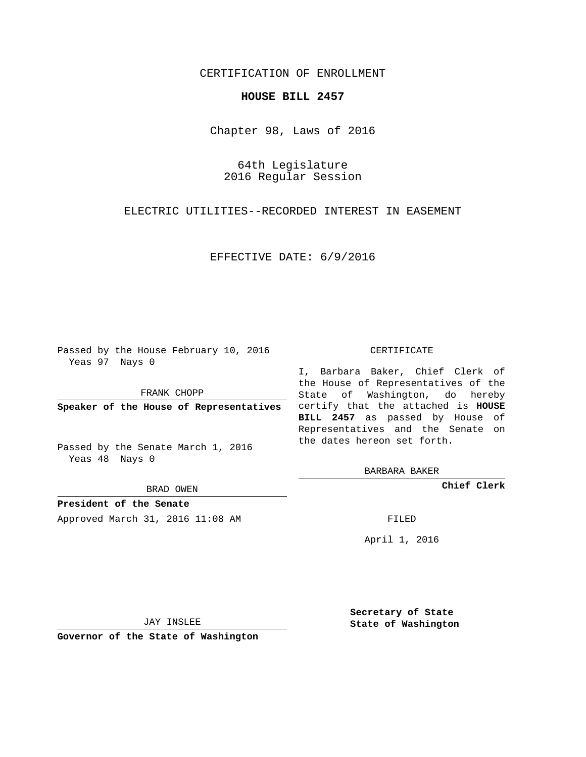## CERTIFICATION OF ENROLLMENT

## **HOUSE BILL 2457**

Chapter 98, Laws of 2016

64th Legislature 2016 Regular Session

ELECTRIC UTILITIES--RECORDED INTEREST IN EASEMENT

EFFECTIVE DATE: 6/9/2016

Passed by the House February 10, 2016 Yeas 97 Nays 0

FRANK CHOPP

Passed by the Senate March 1, 2016 Yeas 48 Nays 0

BRAD OWEN

**President of the Senate**

Approved March 31, 2016 11:08 AM FILED

## CERTIFICATE

**Speaker of the House of Representatives** certify that the attached is **HOUSE** I, Barbara Baker, Chief Clerk of the House of Representatives of the State of Washington, do hereby **BILL 2457** as passed by House of Representatives and the Senate on the dates hereon set forth.

BARBARA BAKER

**Chief Clerk**

April 1, 2016

JAY INSLEE

**Governor of the State of Washington**

**Secretary of State State of Washington**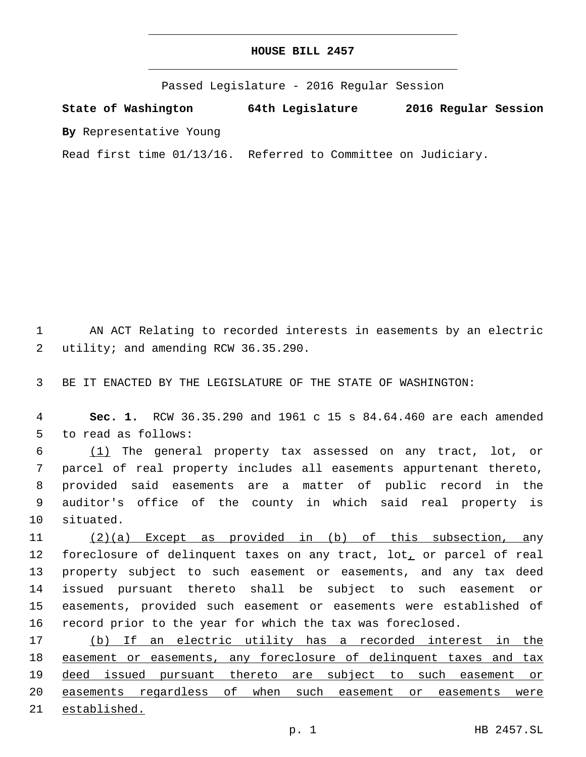## **HOUSE BILL 2457**

Passed Legislature - 2016 Regular Session

**State of Washington 64th Legislature 2016 Regular Session**

**By** Representative Young

Read first time 01/13/16. Referred to Committee on Judiciary.

1 AN ACT Relating to recorded interests in easements by an electric 2 utility; and amending RCW 36.35.290.

3 BE IT ENACTED BY THE LEGISLATURE OF THE STATE OF WASHINGTON:

4 **Sec. 1.** RCW 36.35.290 and 1961 c 15 s 84.64.460 are each amended 5 to read as follows:

 (1) The general property tax assessed on any tract, lot, or parcel of real property includes all easements appurtenant thereto, provided said easements are a matter of public record in the auditor's office of the county in which said real property is 10 situated.

 (2)(a) Except as provided in (b) of this subsection, any 12 foreclosure of delinquent taxes on any tract, lot<sub>1</sub> or parcel of real property subject to such easement or easements, and any tax deed issued pursuant thereto shall be subject to such easement or easements, provided such easement or easements were established of record prior to the year for which the tax was foreclosed.

 (b) If an electric utility has a recorded interest in the 18 easement or easements, any foreclosure of delinquent taxes and tax deed issued pursuant thereto are subject to such easement or easements regardless of when such easement or easements were established.